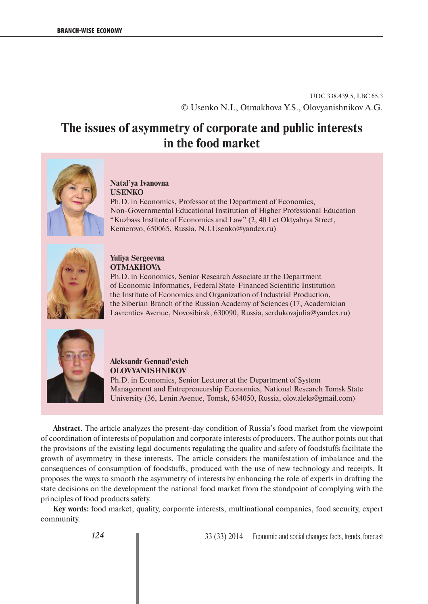UDC 338.439.5, LBC 65.3 © Usenko N.I., Otmakhova Y.S., Olovyanishnikov A.G.

# **The issues of asymmetry of corporate and public interests in the food market**



#### **Natal'ya Ivanovna USENKO**

Ph.D. in Economics, Professor at the Department of Economics, Non-Governmental Educational Institution of Higher Professional Education "Kuzbass Institute of Economics and Law" (2, 40 Let Oktyabrya Street, Kemerovo, 650065, Russia, N.I.Usenko@yandex.ru)



#### **Yuliya Sergeevna OTMAKHOVA**

Ph.D. in Economics, Senior Research Associate at the Department of Economic Informatics, Federal State-Financed Scientific Institution the Institute of Economics and Organization of Industrial Production, the Siberian Branch of the Russian Academy of Sciences (17, Academician Lavrentiev Avenue, Novosibirsk, 630090, Russia, serdukovajulia@yandex.ru)



**Aleksandr Gennad'evich OLOVYANISHNIKOV** Ph.D. in Economics, Senior Lecturer at the Department of System Management and Entrepreneurship Economics, National Research Tomsk State University (36, Lenin Avenue, Tomsk, 634050, Russia, olov.aleks@gmail.com)

**Abstract.** The article analyzes the present-day condition of Russia's food market from the viewpoint of coordination of interests of population and corporate interests of producers. The author points out that the provisions of the existing legal documents regulating the quality and safety of foodstuffs facilitate the growth of asymmetry in these interests. The article considers the manifestation of imbalance and the consequences of consumption of foodstuffs, produced with the use of new technology and receipts. It proposes the ways to smooth the asymmetry of interests by enhancing the role of experts in drafting the state decisions on the development the national food market from the standpoint of complying with the principles of food products safety.

**Key words:** food market, quality, corporate interests, multinational companies, food security, expert community.

*124* 33 (33) 2014 Economic and social changes: facts, trends, forecast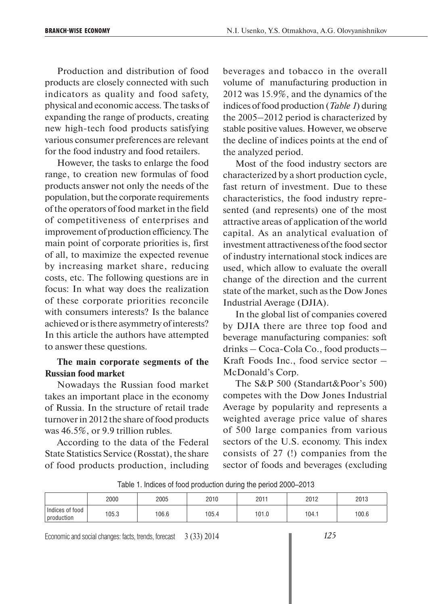Production and distribution of food products are closely connected with such indicators as quality and food safety, physical and economic access. The tasks of expanding the range of products, creating new high-tech food products satisfying various consumer preferences are relevant for the food industry and food retailers.

However, the tasks to enlarge the food range, to creation new formulas of food products answer not only the needs of the population, but the corporate requirements of the operators of food market in the field of competitiveness of enterprises and improvement of production efficiency. The main point of corporate priorities is, first of all, to maximize the expected revenue by increasing market share, reducing costs, etc. The following questions are in focus: In what way does the realization of these corporate priorities reconcile with consumers interests? Is the balance achieved or is there asymmetry of interests? In this article the authors have attempted to answer these questions.

#### **The main corporate segments of the Russian food market**

Nowadays the Russian food market takes an important place in the economy of Russia. In the structure of retail trade turnover in 2012 the share of food products was 46.5%, or 9.9 trillion rubles.

According to the data of the Federal State Statistics Service (Rosstat), the share of food products production, including beverages and tobacco in the overall volume of manufacturing production in 2012 was 15.9%, and the dynamics of the indices of food production (*Table 1*) during the 2005–2012 period is characterized by stable positive values. However, we observe the decline of indices points at the end of the analyzed period.

Most of the food industry sectors are characterized by a short production cycle, fast return of investment. Due to these characteristics, the food industry represented (and represents) one of the most attractive areas of application of the world capital. As an analytical evaluation of investment attractiveness of the food sector of industry international stock indices are used, which allow to evaluate the overall change of the direction and the current state of the market, such as the Dow Jones Industrial Average (DJIA).

In the global list of companies covered by DJIA there are three top food and beverage manufacturing companies: soft drinks – Coca-Cola Co., food products – Kraft Foods Inc., food service sector – McDonald's Corp.

The S&P 500 (Standart&Poor's 500) competes with the Dow Jones Industrial Average by popularity and represents a weighted average price value of shares of 500 large companies from various sectors of the U.S. economy. This index consists of 27 (!) companies from the sector of foods and beverages (excluding

| Table 1. Indices of food production during the period 2000–2013 |  |
|-----------------------------------------------------------------|--|
|-----------------------------------------------------------------|--|

|                               | 2000  | 2005  | 2010  | 2011  | 2012  | 2013  |
|-------------------------------|-------|-------|-------|-------|-------|-------|
| Indices of food<br>production | 105.3 | 106.6 | 105.4 | 101.0 | 104.1 | 100.6 |

Economic and social changes: facts, trends, forecast 3 (33) 2014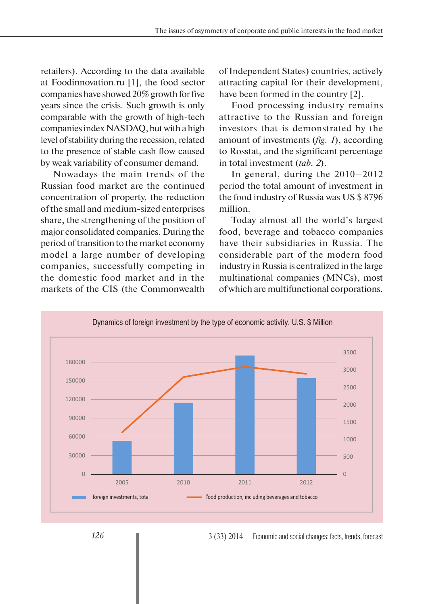retailers). According to the data available at Foodinnovation.ru [1], the food sector companies have showed 20% growth for five years since the crisis. Such growth is only comparable with the growth of high-tech companies index NASDAQ, but with a high level of stability during the recession, related to the presence of stable cash flow caused by weak variability of consumer demand.

Nowadays the main trends of the Russian food market are the continued concentration of property, the reduction of the small and medium-sized enterprises share, the strengthening of the position of major consolidated companies. During the period of transition to the market economy model a large number of developing companies, successfully competing in the domestic food market and in the markets of the CIS (the Commonwealth

of Independent States) countries, actively attracting capital for their development, have been formed in the country [2].

Food processing industry remains attractive to the Russian and foreign investors that is demonstrated by the amount of investments (*fig. 1*), according to Rosstat, and the significant percentage in total investment (*tab. 2*).

In general, during the 2010–2012 period the total amount of investment in the food industry of Russia was US \$ 8796 million.

Today almost all the world's largest food, beverage and tobacco companies have their subsidiaries in Russia. The considerable part of the modern food industry in Russia is centralized in the large multinational companies (MNCs), most of which are multifunctional corporations.



3 (33) 2014 Economic and social changes: facts, trends, forecast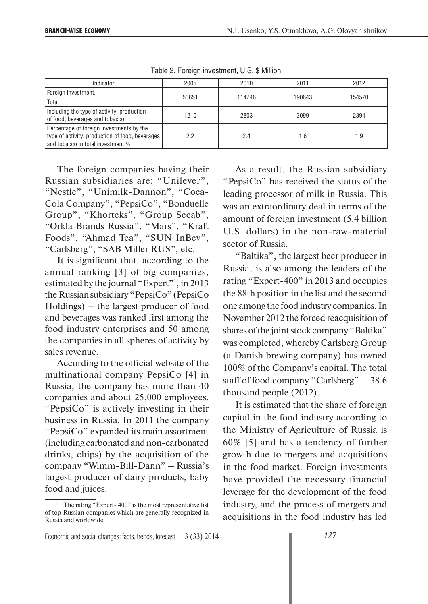| Indicator                                                                                                                        | 2005  | 2010   | 2011   | 2012   |
|----------------------------------------------------------------------------------------------------------------------------------|-------|--------|--------|--------|
| Foreign investment,                                                                                                              | 53651 | 114746 | 190643 | 154570 |
| Total                                                                                                                            |       |        |        |        |
| Including the type of activity: production<br>of food, beverages and tobacco                                                     | 1210  | 2803   | 3099   | 2894   |
| Percentage of foreign investments by the<br>type of activity: production of food, beverages<br>and tobacco in total investment,% | 2.2   | 2.4    | 1.6    | 1.9    |

Table 2. Foreign investment, U.S. \$ Million

The foreign companies having their Russian subsidiaries are: "Unilever", "Nestle", "Unimilk-Dannon", "Coca-Cola Company", "PepsiCo", "Bonduelle Group", "Khorteks", "Group Secab", "Orkla Brands Russia", "Mars", "Kraft Foods", "Ahmad Tea", "SUN InBev", "Carlsberg", "SAB Miller RUS", etc.

It is significant that, according to the annual ranking [3] of big companies, estimated by the journal "Expert"<sup>1</sup>, in 2013 the Russian subsidiary "PepsiCo" (PepsiCo Holdings) – the largest producer of food and beverages was ranked first among the food industry enterprises and 50 among the companies in all spheres of activity by sales revenue.

According to the official website of the multinational company PepsiCo [4] in Russia, the company has more than 40 companies and about 25,000 employees. "PepsiCo" is actively investing in their business in Russia. In 2011 the company "PepsiCo" expanded its main assortment (including carbonated and non-carbonated drinks, chips) by the acquisition of the company "Wimm-Bill-Dann" – Russia's largest producer of dairy products, baby food and juices.

As a result, the Russian subsidiary "PepsiCo" has received the status of the leading processor of milk in Russia. This was an extraordinary deal in terms of the amount of foreign investment (5.4 billion U.S. dollars) in the non-raw-material sector of Russia.

"Baltika", the largest beer producer in Russia, is also among the leaders of the rating "Expert-400" in 2013 and occupies the 88th position in the list and the second one among the food industry companies. In November 2012 the forced reacquisition of shares of the joint stock company "Baltika" was completed, whereby Carlsberg Group (a Danish brewing company) has owned 100% of the Company's capital. The total staff of food company "Carlsberg" – 38.6 thousand people (2012).

It is estimated that the share of foreign capital in the food industry according to the Ministry of Agriculture of Russia is 60% [5] and has a tendency of further growth due to mergers and acquisitions in the food market. Foreign investments have provided the necessary financial leverage for the development of the food industry, and the process of mergers and acquisitions in the food industry has led

<sup>&</sup>lt;sup>1</sup> The rating "Expert-400" is the most representative list of top Russian companies which are generally recognized in Russia and worldwide.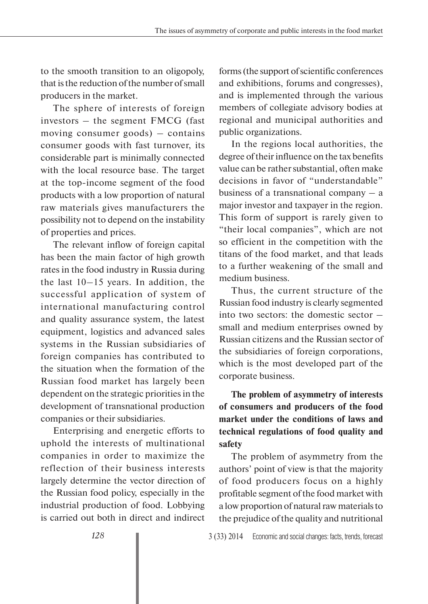to the smooth transition to an oligopoly, that is the reduction of the number of small producers in the market.

The sphere of interests of foreign investors – the segment FMCG (fast moving consumer goods) – contains consumer goods with fast turnover, its considerable part is minimally connected with the local resource base. The target at the top-income segment of the food products with a low proportion of natural raw materials gives manufacturers the possibility not to depend on the instability of properties and prices.

The relevant inflow of foreign capital has been the main factor of high growth rates in the food industry in Russia during the last 10–15 years. In addition, the successful application of system of international manufacturing control and quality assurance system, the latest equipment, logistics and advanced sales systems in the Russian subsidiaries of foreign companies has contributed to the situation when the formation of the Russian food market has largely been dependent on the strategic priorities in the development of transnational production companies or their subsidiaries.

Enterprising and energetic efforts to uphold the interests of multinational companies in order to maximize the reflection of their business interests largely determine the vector direction of the Russian food policy, especially in the industrial production of food. Lobbying is carried out both in direct and indirect

forms (the support of scientific conferences and exhibitions, forums and congresses), and is implemented through the various members of collegiate advisory bodies at regional and municipal authorities and public organizations.

In the regions local authorities, the degree of their influence on the tax benefits value can be rather substantial, often make decisions in favor of "understandable" business of a transnational company  $-$  a major investor and taxpayer in the region. This form of support is rarely given to "their local companies", which are not so efficient in the competition with the titans of the food market, and that leads to a further weakening of the small and medium business.

Thus, the current structure of the Russian food industry is clearly segmented into two sectors: the domestic sector – small and medium enterprises owned by Russian citizens and the Russian sector of the subsidiaries of foreign corporations, which is the most developed part of the corporate business.

**The problem of asymmetry of interests of consumers and producers of the food market under the conditions of laws and technical regulations of food quality and safety**

The problem of asymmetry from the authors' point of view is that the majority of food producers focus on a highly profitable segment of the food market with a low proportion of natural raw materials to the prejudice of the quality and nutritional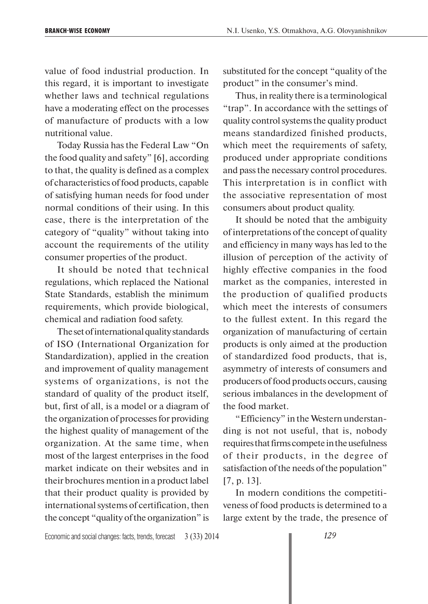value of food industrial production. In this regard, it is important to investigate whether laws and technical regulations have a moderating effect on the processes of manufacture of products with a low nutritional value.

Today Russia has the Federal Law "On the food quality and safety" [6], according to that, the quality is defined as a complex of characteristics of food products, capable of satisfying human needs for food under normal conditions of their using. In this case, there is the interpretation of the category of "quality" without taking into account the requirements of the utility consumer properties of the product.

It should be noted that technical regulations, which replaced the National State Standards, establish the minimum requirements, which provide biological, chemical and radiation food safety.

The set of international quality standards of ISO (International Organization for Standardization), applied in the creation and improvement of quality management systems of organizations, is not the standard of quality of the product itself, but, first of all, is a model or a diagram of the organization of processes for providing the highest quality of management of the organization. At the same time, when most of the largest enterprises in the food market indicate on their websites and in their brochures mention in a product label that their product quality is provided by international systems of certification, then the concept "quality of the organization" is

substituted for the concept "quality of the product" in the consumer's mind.

Thus, in reality there is a terminological "trap". In accordance with the settings of quality control systems the quality product means standardized finished products, which meet the requirements of safety, produced under appropriate conditions and pass the necessary control procedures. This interpretation is in conflict with the associative representation of most consumers about product quality.

It should be noted that the ambiguity of interpretations of the concept of quality and efficiency in many ways has led to the illusion of perception of the activity of highly effective companies in the food market as the companies, interested in the production of qualified products which meet the interests of consumers to the fullest extent. In this regard the organization of manufacturing of certain products is only aimed at the production of standardized food products, that is, asymmetry of interests of consumers and producers of food products occurs, causing serious imbalances in the development of the food market.

"Efficiency" in the Western understanding is not not useful, that is, nobody requires that firms compete in the usefulness of their products, in the degree of satisfaction of the needs of the population" [7, p. 13].

In modern conditions the competitiveness of food products is determined to a large extent by the trade, the presence of

Economic and social changes: facts, trends, forecast 3 (33) 2014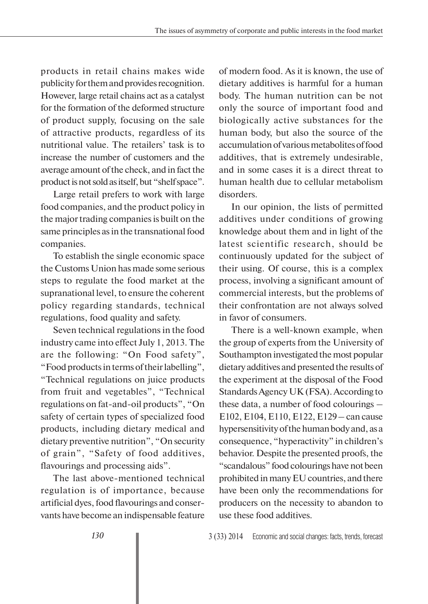products in retail chains makes wide publicity for them and provides recognition. However, large retail chains act as a catalyst for the formation of the deformed structure of product supply, focusing on the sale of attractive products, regardless of its nutritional value. The retailers' task is to increase the number of customers and the average amount of the check, and in fact the product is not sold as itself, but "shelf space".

Large retail prefers to work with large food companies, and the product policy in the major trading companies is built on the same principles as in the transnational food companies.

To establish the single economic space the Customs Union has made some serious steps to regulate the food market at the supranational level, to ensure the coherent policy regarding standards, technical regulations, food quality and safety.

Seven technical regulations in the food industry came into effect July 1, 2013. The are the following: "On Food safety", "Food products in terms of their labelling", "Technical regulations on juice products from fruit and vegetables", "Technical regulations on fat-and-oil products", "On safety of certain types of specialized food products, including dietary medical and dietary preventive nutrition", "On security of grain", "Safety of food additives, flavourings and processing aids".

The last above-mentioned technical regulation is of importance, because artificial dyes, food flavourings and conservants have become an indispensable feature of modern food. As it is known, the use of dietary additives is harmful for a human body. The human nutrition can be not only the source of important food and biologically active substances for the human body, but also the source of the accumulation of various metabolites of food additives, that is extremely undesirable, and in some cases it is a direct threat to human health due to cellular metabolism disorders.

In our opinion, the lists of permitted additives under conditions of growing knowledge about them and in light of the latest scientific research, should be continuously updated for the subject of their using. Of course, this is a complex process, involving a significant amount of commercial interests, but the problems of their confrontation are not always solved in favor of consumers.

There is a well-known example, when the group of experts from the University of Southampton investigated the most popular dietary additives and presented the results of the experiment at the disposal of the Food Standards Agency UK (FSA). According to these data, a number of food colourings – E102, E104, E110, E122, E129 – can cause hypersensitivity of the human body and, as a consequence, "hyperactivity" in children's behavior. Despite the presented proofs, the "scandalous" food colourings have not been prohibited in many EU countries, and there have been only the recommendations for producers on the necessity to abandon to use these food additives.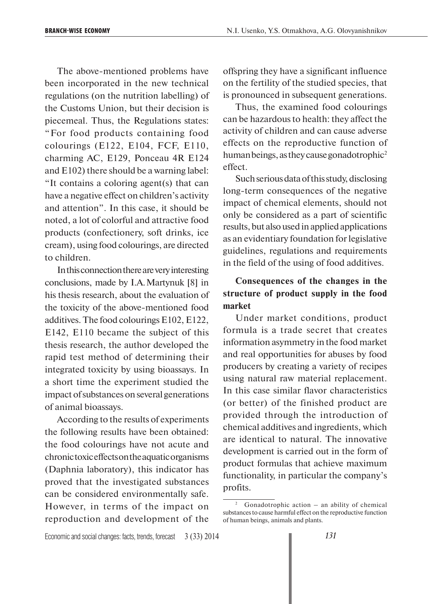The above-mentioned problems have been incorporated in the new technical regulations (on the nutrition labelling) of the Customs Union, but their decision is piecemeal. Thus, the Regulations states: "For food products containing food colourings (E122, E104, FCF, E110, charming AC, E129, Ponceau 4R E124 and E102) there should be a warning label: "It contains a coloring agent(s) that can have a negative effect on children's activity and attention". In this case, it should be noted, a lot of colorful and attractive food products (confectionery, soft drinks, ice cream), using food colourings, are directed to children.

In this connection there are very interesting conclusions, made by I.A. Martynuk [8] in his thesis research, about the evaluation of the toxicity of the above-mentioned food additives. The food colourings E102, E122, E142, E110 became the subject of this thesis research, the author developed the rapid test method of determining their integrated toxicity by using bioassays. In a short time the experiment studied the impact of substances on several generations of animal bioassays.

According to the results of experiments the following results have been obtained: the food colourings have not acute and chronic toxic effects on the aquatic organisms (Daphnia laboratory), this indicator has proved that the investigated substances can be considered environmentally safe. However, in terms of the impact on reproduction and development of the

offspring they have a significant influence on the fertility of the studied species, that is pronounced in subsequent generations.

Thus, the examined food colourings can be hazardous to health: they affect the activity of children and can cause adverse effects on the reproductive function of human beings, as they cause gonadotrophic<sup>2</sup> effect.

Such serious data of this study, disclosing long-term consequences of the negative impact of chemical elements, should not only be considered as a part of scientific results, but also used in applied applications as an evidentiary foundation for legislative guidelines, regulations and requirements in the field of the using of food additives.

# **Consequences of the changes in the structure of product supply in the food market**

Under market conditions, product formula is a trade secret that creates information asymmetry in the food market and real opportunities for abuses by food producers by creating a variety of recipes using natural raw material replacement. In this case similar flavor characteristics (or better) of the finished product are provided through the introduction of chemical additives and ingredients, which are identical to natural. The innovative development is carried out in the form of product formulas that achieve maximum functionality, in particular the company's profits.

<sup>2</sup> Gonadotrophic action – an ability of chemical substances to cause harmful effect on the reproductive function of human beings, animals and plants.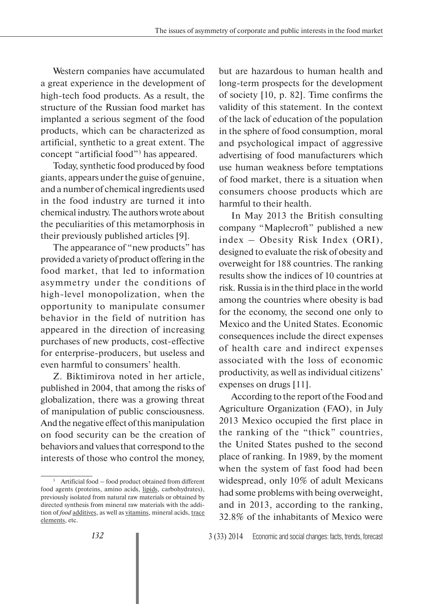Western companies have accumulated a great experience in the development of high-tech food products. As a result, the structure of the Russian food market has implanted a serious segment of the food products, which can be characterized as artificial, synthetic to a great extent. The concept "artificial food"3 has appeared.

Today, synthetic food produced by food giants, appears under the guise of genuine, and a number of chemical ingredients used in the food industry are turned it into chemical industry. The authors wrote about the peculiarities of this metamorphosis in their previously published articles [9].

The appearance of "new products" has provided a variety of product offering in the food market, that led to information asymmetry under the conditions of high-level monopolization, when the opportunity to manipulate consumer behavior in the field of nutrition has appeared in the direction of increasing purchases of new products, cost-effective for enterprise-producers, but useless and even harmful to consumers' health.

Z. Biktimirova noted in her article, published in 2004, that among the risks of globalization, there was a growing threat of manipulation of public consciousness. And the negative effect of this manipulation on food security can be the creation of behaviors and values that correspond to the interests of those who control the money,

but are hazardous to human health and long-term prospects for the development of society [10, p. 82]. Time confirms the validity of this statement. In the context of the lack of education of the population in the sphere of food consumption, moral and psychological impact of aggressive advertising of food manufacturers which use human weakness before temptations of food market, there is a situation when consumers choose products which are harmful to their health.

In May 2013 the British consulting company "Maplecroft" published a new index – Obesity Risk Index (ORI), designed to evaluate the risk of obesity and overweight for 188 countries. The ranking results show the indices of 10 countries at risk. Russia is in the third place in the world among the countries where obesity is bad for the economy, the second one only to Mexico and the United States. Economic consequences include the direct expenses of health care and indirect expenses associated with the loss of economic productivity, as well as individual citizens' expenses on drugs [11].

According to the report of the Food and Agriculture Organization (FAO), in July 2013 Mexico occupied the first place in the ranking of the "thick" countries, the United States pushed to the second place of ranking. In 1989, by the moment when the system of fast food had been widespread, only 10% of adult Mexicans had some problems with being overweight, and in 2013, according to the ranking, 32.8% of the inhabitants of Mexico were

Artificial food – food product obtained from different food agents (proteins, amino acids, lipids, carbohydrates), previously isolated from natural raw materials or obtained by directed synthesis from mineral raw materials with the addition of *food* additives, as well as vitamins, mineral acids, trace elements, etc.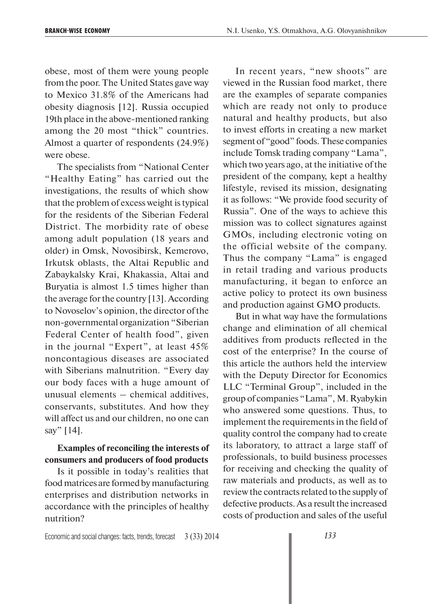obese, most of them were young people from the poor. The United States gave way to Mexico 31.8% of the Americans had obesity diagnosis [12]. Russia occupied 19th place in the above-mentioned ranking among the 20 most "thick" countries. Almost a quarter of respondents (24.9%) were obese.

The specialists from "National Center "Healthy Eating" has carried out the investigations, the results of which show that the problem of excess weight is typical for the residents of the Siberian Federal District. The morbidity rate of obese among adult population (18 years and older) in Omsk, Novosibirsk, Kemerovo, Irkutsk oblasts, the Altai Republic and Zabaykalsky Krai, Khakassia, Altai and Buryatia is almost 1.5 times higher than the average for the country [13]. According to Novoselov's opinion, the director of the non-governmental organization "Siberian Federal Center of health food", given in the journal "Expert", at least 45% noncontagious diseases are associated with Siberians malnutrition. "Every day our body faces with a huge amount of unusual elements – chemical additives, conservants, substitutes. And how they will affect us and our children, no one can say" [14].

### **Examples of reconciling the interests of consumers and producers of food products**

Is it possible in today's realities that food matrices are formed by manufacturing enterprises and distribution networks in accordance with the principles of healthy nutrition?

In recent years, "new shoots" are viewed in the Russian food market, there are the examples of separate companies which are ready not only to produce natural and healthy products, but also to invest efforts in creating a new market segment of "good" foods. These companies include Tomsk trading company "Lama", which two years ago, at the initiative of the president of the company, kept a healthy lifestyle, revised its mission, designating it as follows: "We provide food security of Russia". One of the ways to achieve this mission was to collect signatures against GMOs, including electronic voting on the official website of the company. Thus the company "Lama" is engaged in retail trading and various products manufacturing, it began to enforce an active policy to protect its own business and production against GMO products.

But in what way have the formulations change and elimination of all chemical additives from products reflected in the cost of the enterprise? In the course of this article the authors held the interview with the Deputy Director for Economics LLC "Terminal Group", included in the group of companies "Lama", M. Ryabykin who answered some questions. Thus, to implement the requirements in the field of quality control the company had to create its laboratory, to attract a large staff of professionals, to build business processes for receiving and checking the quality of raw materials and products, as well as to review the contracts related to the supply of defective products. As a result the increased costs of production and sales of the useful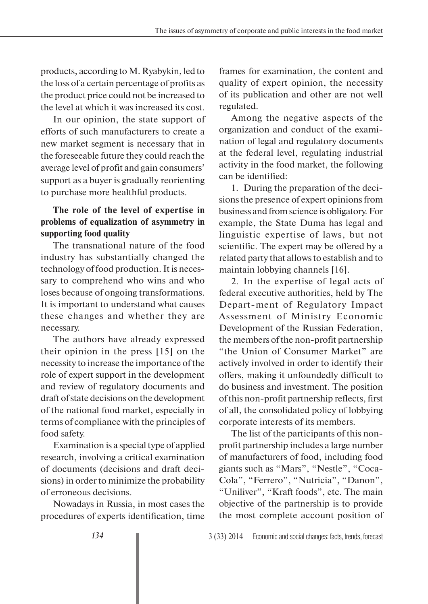products, according to M. Ryabykin, led to the loss of a certain percentage of profits as the product price could not be increased to the level at which it was increased its cost.

In our opinion, the state support of efforts of such manufacturers to create a new market segment is necessary that in the foreseeable future they could reach the average level of profit and gain consumers' support as a buyer is gradually reorienting to purchase more healthful products.

## **The role of the level of expertise in problems of equalization of asymmetry in supporting food quality**

The transnational nature of the food industry has substantially changed the technology of food production. It is necessary to comprehend who wins and who loses because of ongoing transformations. It is important to understand what causes these changes and whether they are necessary.

The authors have already expressed their opinion in the press [15] on the necessity to increase the importance of the role of expert support in the development and review of regulatory documents and draft of state decisions on the development of the national food market, especially in terms of compliance with the principles of food safety.

Examination is a special type of applied research, involving a critical examination of documents (decisions and draft decisions) in order to minimize the probability of erroneous decisions.

Nowadays in Russia, in most cases the procedures of experts identification, time frames for examination, the content and quality of expert opinion, the necessity of its publication and other are not well regulated.

Among the negative aspects of the organization and conduct of the examination of legal and regulatory documents at the federal level, regulating industrial activity in the food market, the following can be identified:

1. During the preparation of the decisions the presence of expert opinions from business and from science is obligatory. For example, the State Duma has legal and linguistic expertise of laws, but not scientific. The expert may be offered by a related party that allows to establish and to maintain lobbying channels [16].

2. In the expertise of legal acts of federal executive authorities, held by The Depart-ment of Regulatory Impact Assessment of Ministry Economic Development of the Russian Federation, the members of the non-profit partnership "the Union of Consumer Market" are actively involved in order to identify their offers, making it unfoundedly difficult to do business and investment. The position of this non-profit partnership reflects, first of all, the consolidated policy of lobbying corporate interests of its members.

The list of the participants of this nonprofit partnership includes a large number of manufacturers of food, including food giants such as "Mars", "Nestle", "Coca-Cola", "Ferrero", "Nutricia", "Danon", "Uniliver", "Kraft foods", etc. The main objective of the partnership is to provide the most complete account position of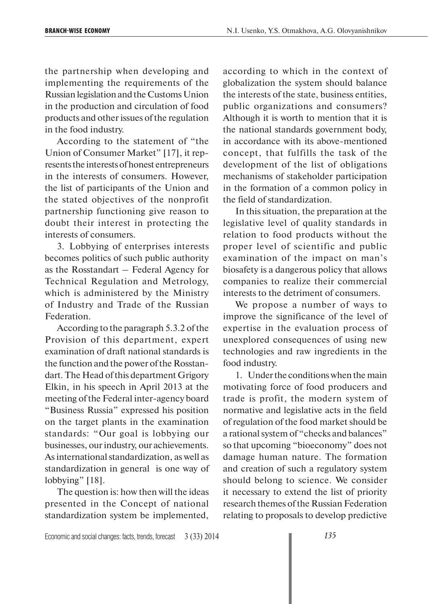the partnership when developing and implementing the requirements of the Russian legislation and the Customs Union in the production and circulation of food products and other issues of the regulation in the food industry.

According to the statement of "the Union of Consumer Market" [17], it represents the interests of honest entrepreneurs in the interests of consumers. However, the list of participants of the Union and the stated objectives of the nonprofit partnership functioning give reason to doubt their interest in protecting the interests of consumers.

3. Lobbying of enterprises interests becomes politics of such public authority as the Rosstandart – Federal Agency for Technical Regulation and Metrology, which is administered by the Ministry of Industry and Trade of the Russian Federation.

According to the paragraph 5.3.2 of the Provision of this department, expert examination of draft national standards is the function and the power of the Rosstandart. The Head of this department Grigory Elkin, in his speech in April 2013 at the meeting of the Federal inter-agency board "Business Russia" expressed his position on the target plants in the examination standards: "Our goal is lobbying our businesses, our industry, our achievements. As international standardization, as well as standardization in general is one way of lobbying" [18].

The question is: how then will the ideas presented in the Concept of national standardization system be implemented,

according to which in the context of globalization the system should balance the interests of the state, business entities, public organizations and consumers? Although it is worth to mention that it is the national standards government body, in accordance with its above-mentioned concept, that fulfills the task of the development of the list of obligations mechanisms of stakeholder participation in the formation of a common policy in the field of standardization.

In this situation, the preparation at the legislative level of quality standards in relation to food products without the proper level of scientific and public examination of the impact on man's biosafety is a dangerous policy that allows companies to realize their commercial interests to the detriment of consumers.

We propose a number of ways to improve the significance of the level of expertise in the evaluation process of unexplored consequences of using new technologies and raw ingredients in the food industry.

1. Under the conditions when the main motivating force of food producers and trade is profit, the modern system of normative and legislative acts in the field of regulation of the food market should be a rational system of "checks and balances" so that upcoming "bioeconomy" does not damage human nature. The formation and creation of such a regulatory system should belong to science. We consider it necessary to extend the list of priority research themes of the Russian Federation relating to proposals to develop predictive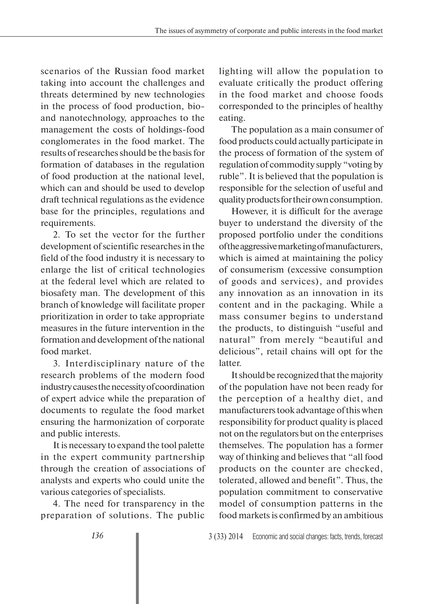scenarios of the Russian food market taking into account the challenges and threats determined by new technologies in the process of food production, bioand nanotechnology, approaches to the management the costs of holdings-food conglomerates in the food market. The results of researches should be the basis for formation of databases in the regulation of food production at the national level, which can and should be used to develop draft technical regulations as the evidence base for the principles, regulations and requirements.

2. To set the vector for the further development of scientific researches in the field of the food industry it is necessary to enlarge the list of critical technologies at the federal level which are related to biosafety man. The development of this branch of knowledge will facilitate proper prioritization in order to take appropriate measures in the future intervention in the formation and development of the national food market.

3. Interdisciplinary nature of the research problems of the modern food industry causes the necessity of coordination of expert advice while the preparation of documents to regulate the food market ensuring the harmonization of corporate and public interests.

It is necessary to expand the tool palette in the expert community partnership through the creation of associations of analysts and experts who could unite the various categories of specialists.

4. The need for transparency in the preparation of solutions. The public lighting will allow the population to evaluate critically the product offering in the food market and choose foods corresponded to the principles of healthy eating.

The population as a main consumer of food products could actually participate in the process of formation of the system of regulation of commodity supply "voting by ruble". It is believed that the population is responsible for the selection of useful and quality products for their own consumption.

However, it is difficult for the average buyer to understand the diversity of the proposed portfolio under the conditions of the aggressive marketing of manufacturers, which is aimed at maintaining the policy of consumerism (excessive consumption of goods and services), and provides any innovation as an innovation in its content and in the packaging. While a mass consumer begins to understand the products, to distinguish "useful and natural" from merely "beautiful and delicious", retail chains will opt for the latter.

It should be recognized that the majority of the population have not been ready for the perception of a healthy diet, and manufacturers took advantage of this when responsibility for product quality is placed not on the regulators but on the enterprises themselves. The population has a former way of thinking and believes that "all food products on the counter are checked, tolerated, allowed and benefit". Thus, the population commitment to conservative model of consumption patterns in the food markets is confirmed by an ambitious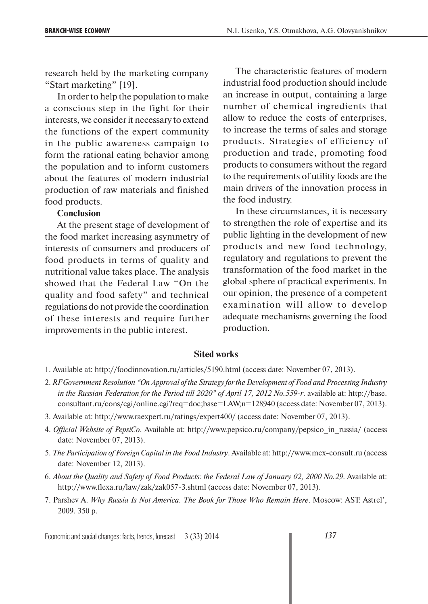research held by the marketing company "Start marketing" [19].

In order to help the population to make a conscious step in the fight for their interests, we consider it necessary to extend the functions of the expert community in the public awareness campaign to form the rational eating behavior among the population and to inform customers about the features of modern industrial production of raw materials and finished food products.

#### **Conclusion**

At the present stage of development of the food market increasing asymmetry of interests of consumers and producers of food products in terms of quality and nutritional value takes place. The analysis showed that the Federal Law "On the quality and food safety" and technical regulations do not provide the coordination of these interests and require further improvements in the public interest.

The characteristic features of modern industrial food production should include an increase in output, containing a large number of chemical ingredients that allow to reduce the costs of enterprises, to increase the terms of sales and storage products. Strategies of efficiency of production and trade, promoting food products to consumers without the regard to the requirements of utility foods are the main drivers of the innovation process in the food industry.

In these circumstances, it is necessary to strengthen the role of expertise and its public lighting in the development of new products and new food technology, regulatory and regulations to prevent the transformation of the food market in the global sphere of practical experiments. In our opinion, the presence of a competent examination will allow to develop adequate mechanisms governing the food production.

#### **Sited works**

- 1. Available at: http://foodinnovation.ru/articles/5190.html (access date: November 07, 2013).
- 2. *RF Government Resolution "On Approval of the Strategy for the Development of Food and Processing Industry in the Russian Federation for the Period till 2020" of April 17, 2012 No.559-r*. available at: http://base. consultant.ru/cons/cgi/online.cgi?req=doc;base=LAW;n=128940 (access date: November 07, 2013).
- 3. Available at: http://www.raexpert.ru/ratings/expert400/ (access date: November 07, 2013).
- 4. *Official Website of PepsiCo*. Available at: http://www.pepsico.ru/company/pepsico\_in\_russia/ (access date: November 07, 2013).
- 5. *The Participation of Foreign Capital in the Food Industry*. Available at: http://www.mcx-consult.ru (access date: November 12, 2013).
- 6. *About the Quality and Safety of Food Products: the Federal Law of January 02, 2000 No.29*. Available at: http://www.flexa.ru/law/zak/zak057-3.shtml (access date: November 07, 2013).
- 7. Parshev A. *Why Russia Is Not America. The Book for Those Who Remain Here*. Moscow: AST: Astrel', 2009. 350 p.

Economic and social changes: facts, trends, forecast 3 (33) 2014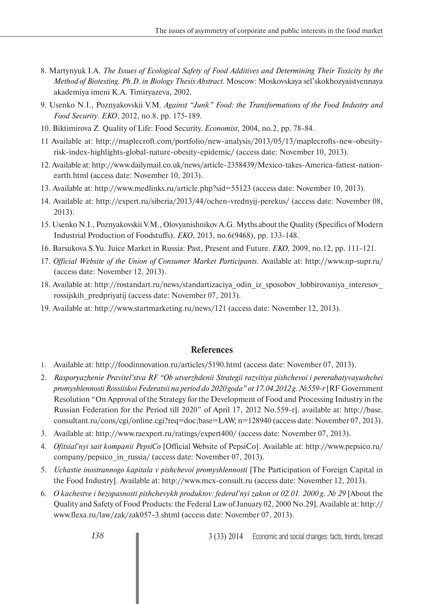- 8. Martynyuk I.A. *The Issues of Ecological Safety of Food Additives and Determining Their Toxicity by the Method of Biotesting. Ph.D. in Biology Thesis Abstract*. Moscow: Moskovskaya sel'skokhozyaistvennaya akademiya imeni K.A. Timiryazeva, 2002.
- 9. Usenko N.I., Poznyakovskii V.M. *Against "Junk" Food: the Transformations of the Food Industry and Food Security*. *EKO*, 2012, no.8, pp. 175-189.
- 10. Biktimirova Z. Quality of Life: Food Security. *Economist,* 2004, no.2, pp. 78-84.
- 11 Available at: http://maplecroft.com/portfolio/new-analysis/2013/05/13/maplecrofts-new-obesityrisk-index-highlights-global-nature-obesity-epidemic/ (access date: November 10, 2013).
- 12. Available at: http://www.dailymail.co.uk/news/article-2358439/Mexico-takes-America-fattest-nationearth.html (access date: November 10, 2013).
- 13. Available at: http://www.medlinks.ru/article.php?sid=55123 (access date: November 10, 2013).
- 14. Available at: http://expert.ru/siberia/2013/44/ochen-vrednyij-perekus/ (access date: November 08, 2013).
- 15. Usenko N.I., Poznyakovskii V.M., Olovyanishnikov A.G. Myths about the Quality (Specifics of Modern Industrial Production of Foodstuffs). *EKO*, 2013, no.6(9468), pp. 133-148.
- 16. Barsukova S.Yu. Juice Market in Russia: Past, Present and Future. *EKO,* 2009, no.12, pp. 111-121.
- 17. *Official Website of the Union of Consumer Market Participants*. Available at: http://www.np-supr.ru/ (access date: November 12, 2013).
- 18. Available at: http://rostandart.ru/news/standartizaciya\_odin\_iz\_sposobov\_lobbirovaniya\_interesov\_ rossijskih\_predpriyatij (access date: November 07, 2013).
- 19. Available at: http://www.startmarketing.ru/news/121 (access date: November 12, 2013).

### **References**

- 1. Available at: http://foodinnovation.ru/articles/5190.html (access date: November 07, 2013).
- 2. *Rasporyazhenie Pravitel'stva RF "Ob utverzhdenii Strategii razvitiya pishchevoi i pererabatyvayushchei promyshlennosti Rossiiskoi Federatsii na period do 2020 goda" ot 17.04.2012 g. №559-r* [RF Government Resolution "On Approval of the Strategy for the Development of Food and Processing Industry in the Russian Federation for the Period till 2020" of April 17, 2012 No.559-r]. available at: http://base. consultant.ru/cons/cgi/online.cgi?req=doc;base=LAW; n=128940 (access date: November 07, 2013).
- 3. Available at: http://www.raexpert.ru/ratings/expert400/ (access date: November 07, 2013).
- 4. *Ofitsial'nyi sait kompanii PepsiCo* [Official Website of PepsiCo]. Available at: http://www.pepsico.ru/ company/pepsico\_in\_russia/ (access date: November 07, 2013).
- 5. *Uchastie inostrannogo kapitala v pishchevoi promyshlennosti* [The Participation of Foreign Capital in the Food Industry]. Available at: http://www.mcx-consult.ru (access date: November 12, 2013).
- 6. *O kachestve i bezopasnosti pishchevykh produktov: federal'nyi zakon ot 02.01. 2000 g. № 29* [About the Quality and Safety of Food Products: the Federal Law of January 02, 2000 No.29]. Available at: http:// www.flexa.ru/law/zak/zak057-3.shtml (access date: November 07, 2013).